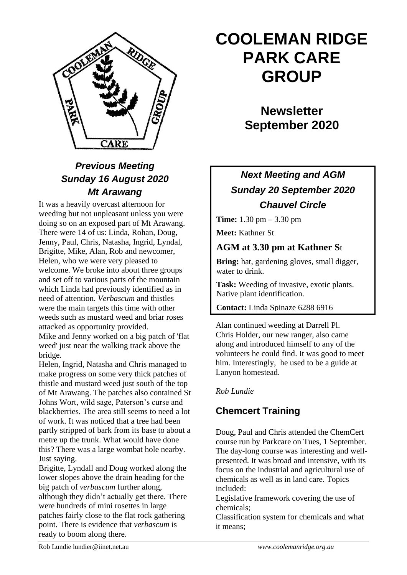

# *Previous Meeting Sunday 16 August 2020 Mt Arawang*

It was a heavily overcast afternoon for weeding but not unpleasant unless you were doing so on an exposed part of Mt Arawang. There were 14 of us: Linda, Rohan, Doug, Jenny, Paul, Chris, Natasha, Ingrid, Lyndal, Brigitte, Mike, Alan, Rob and newcomer, Helen, who we were very pleased to welcome. We broke into about three groups and set off to various parts of the mountain which Linda had previously identified as in need of attention. *Verbascum* and thistles were the main targets this time with other weeds such as mustard weed and briar roses attacked as opportunity provided.

Mike and Jenny worked on a big patch of 'flat weed' just near the walking track above the bridge.

Helen, Ingrid, Natasha and Chris managed to make progress on some very thick patches of thistle and mustard weed just south of the top of Mt Arawang. The patches also contained St Johns Wort, wild sage, Paterson's curse and blackberries. The area still seems to need a lot of work. It was noticed that a tree had been partly stripped of bark from its base to about a metre up the trunk. What would have done this? There was a large wombat hole nearby. Just saying.

Brigitte, Lyndall and Doug worked along the lower slopes above the drain heading for the big patch of *verbascum* further along, although they didn't actually get there. There were hundreds of mini rosettes in large patches fairly close to the flat rock gathering point. There is evidence that *verbascum* is ready to boom along there.

# **COOLEMAN RIDGE PARK CARE GROUP**

**Newsletter September 2020** 

# *Next Meeting and AGM Sunday 20 September 2020 Chauvel Circle*

**Time:** 1.30 pm – 3.30 pm

**Meet:** Kathner St

## **AGM at 3.30 pm at Kathner S**t

**Bring:** hat, gardening gloves, small digger, water to drink.

**Task:** Weeding of invasive, exotic plants. Native plant identification.

**Contact:** Linda Spinaze 6288 6916

Alan continued weeding at Darrell Pl. Chris Holder, our new ranger, also came along and introduced himself to any of the volunteers he could find. It was good to meet him. Interestingly, he used to be a guide at Lanyon homestead.

#### *Rob Lundie*

# **Chemcert Training**

Doug, Paul and Chris attended the ChemCert course run by Parkcare on Tues, 1 September. The day-long course was interesting and wellpresented. It was broad and intensive, with its focus on the industrial and agricultural use of chemicals as well as in land care. Topics included:

Legislative framework covering the use of chemicals;

Classification system for chemicals and what it means;